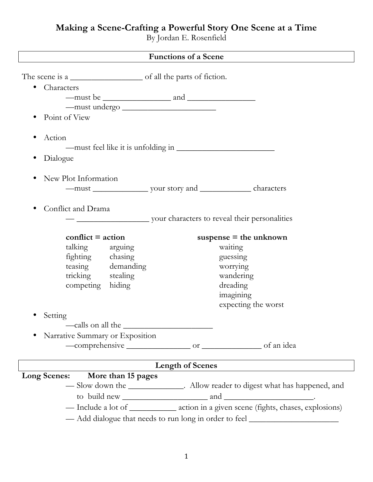# **Making a Scene-Crafting a Powerful Story One Scene at a Time**

By Jordan E. Rosenfield

| <b>Functions of a Scene</b>                                                                                              |                         |                                                                                       |  |
|--------------------------------------------------------------------------------------------------------------------------|-------------------------|---------------------------------------------------------------------------------------|--|
| The scene is a                                                                                                           |                         |                                                                                       |  |
| Characters<br>$\bullet$                                                                                                  |                         |                                                                                       |  |
| $-must be$ $\frac{1}{2}$ and $\frac{1}{2}$                                                                               |                         |                                                                                       |  |
| $-must$ undergo $\frac{1}{2}$                                                                                            |                         |                                                                                       |  |
| Point of View                                                                                                            |                         |                                                                                       |  |
|                                                                                                                          |                         |                                                                                       |  |
| Action                                                                                                                   |                         |                                                                                       |  |
|                                                                                                                          |                         |                                                                                       |  |
| Dialogue<br>$\bullet$                                                                                                    |                         |                                                                                       |  |
| New Plot Information<br>$\bullet$                                                                                        |                         |                                                                                       |  |
|                                                                                                                          |                         |                                                                                       |  |
|                                                                                                                          |                         |                                                                                       |  |
| Conflict and Drama<br>$\bullet$                                                                                          |                         |                                                                                       |  |
| your characters to reveal their personalities                                                                            |                         |                                                                                       |  |
|                                                                                                                          |                         |                                                                                       |  |
| $conflict = action$                                                                                                      |                         | suspense $=$ the unknown                                                              |  |
| talking<br>arguing                                                                                                       |                         | waiting                                                                               |  |
| fighting chasing                                                                                                         |                         | guessing                                                                              |  |
| teasing demanding                                                                                                        |                         | worrying                                                                              |  |
| tricking stealing                                                                                                        |                         | wandering                                                                             |  |
| hiding<br>competing                                                                                                      |                         | dreading                                                                              |  |
|                                                                                                                          |                         | imagining                                                                             |  |
|                                                                                                                          |                         | expecting the worst                                                                   |  |
| Setting                                                                                                                  |                         |                                                                                       |  |
| —calls on all the $\_$                                                                                                   |                         |                                                                                       |  |
| Narrative Summary or Exposition                                                                                          |                         |                                                                                       |  |
|                                                                                                                          |                         |                                                                                       |  |
|                                                                                                                          |                         |                                                                                       |  |
|                                                                                                                          | <b>Length of Scenes</b> |                                                                                       |  |
| <b>Long Scenes:</b><br>More than 15 pages<br>-Slow down the _____________. Allow reader to digest what has happened, and |                         |                                                                                       |  |
|                                                                                                                          |                         |                                                                                       |  |
|                                                                                                                          |                         | - Include a lot of _____________ action in a given scene (fights, chases, explosions) |  |
|                                                                                                                          |                         | - Add dialogue that needs to run long in order to feel __________________________     |  |
|                                                                                                                          |                         |                                                                                       |  |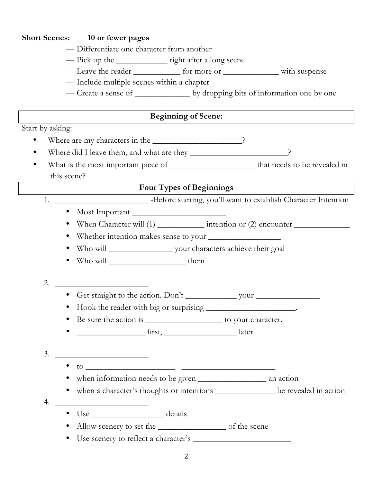#### **Short Scenes: 10 or fewer pages**

- Differentiate one character from another
- Pick up the \_\_\_\_\_\_\_\_\_\_\_\_\_\_\_ right after a long scene
- Leave the reader \_\_\_\_\_\_\_\_\_\_\_\_ for more or \_\_\_\_\_\_\_\_\_\_\_\_\_\_\_\_ with suspense
- Include multiple scenes within a chapter
- Create a sense of \_\_\_\_\_\_\_\_\_\_\_\_\_\_\_\_\_\_ by dropping bits of information one by one

# **Beginning of Scene:**

Start by asking:

- Where are my characters in the \_\_\_\_\_\_\_\_\_\_\_\_\_\_\_\_\_\_\_\_\_\_\_\_?
- Where did I leave them, and what are they \_\_\_\_\_\_\_\_\_\_\_\_\_\_\_\_\_\_\_\_\_\_\_\_\_\_?
- What is the most important piece of \_\_\_\_\_\_\_\_\_\_\_\_\_\_\_\_\_\_\_\_ that needs to be revealed in this scene?

# **Four Types of Beginnings**

- 1. \_\_\_\_\_\_\_\_\_\_\_\_\_\_\_\_\_\_\_\_\_\_ -Before starting, you'll want to establish Character Intention
	- Most Important \_\_\_\_\_\_\_\_\_\_\_\_\_\_\_\_\_\_\_\_\_\_
		- When Character will (1) \_\_\_\_\_\_\_\_\_\_\_ intention or (2) encounter \_\_\_\_\_\_\_\_\_\_\_\_\_
		- Whether intention makes sense to your \_\_\_\_\_\_\_\_\_\_\_\_\_\_\_\_\_
		- Who will \_\_\_\_\_\_\_\_\_\_\_\_\_\_\_ your characters achieve their goal
		- Who will \_\_\_\_\_\_\_\_\_\_\_\_\_\_\_\_\_\_ them

# 2. \_\_\_\_\_\_\_\_\_\_\_\_\_\_\_\_\_\_\_\_\_\_

- Get straight to the action. Don't vour
- Hook the reader with big or surprising \_\_\_\_\_\_\_\_\_\_\_\_\_\_\_\_\_\_\_.
- Be sure the action is \_\_\_\_\_\_\_\_\_\_\_\_\_\_\_\_\_\_\_\_\_ to your character.
- first, the later

# 3. \_\_\_\_\_\_\_\_\_\_\_\_\_\_\_\_\_\_\_\_\_\_

- to  $\bullet$
- when information needs to be given \_\_\_\_\_\_\_\_\_\_\_\_\_\_\_\_ an action
- when a character's thoughts or intentions be revealed in action

# 4. \_\_\_\_\_\_\_\_\_\_\_\_\_\_\_\_\_\_\_\_\_\_

- Use details
- Allow scenery to set the \_\_\_\_\_\_\_\_\_\_\_\_\_\_\_\_ of the scene
- Use scenery to reflect a character's \_\_\_\_\_\_\_\_\_\_\_\_\_\_\_\_\_\_\_\_\_\_\_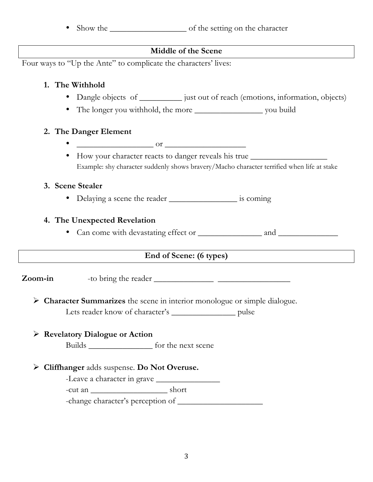• Show the <u>setting</u> on the character

#### **Middle of the Scene**

Four ways to "Up the Ante" to complicate the characters' lives:

#### **1. The Withhold**

- Dangle objects of \_\_\_\_\_\_\_\_\_\_\_ just out of reach (emotions, information, objects)
- The longer you withhold, the more \_\_\_\_\_\_\_\_\_\_\_\_\_\_\_\_ you build

#### **2. The Danger Element**

- $\sigma$  or  $\sim$
- How your character reacts to danger reveals his true \_\_\_\_\_\_\_\_\_\_\_\_\_\_\_\_\_\_\_\_\_\_\_\_\_ Example: shy character suddenly shows bravery/Macho character terrified when life at stake

#### **3. Scene Stealer**

• Delaying a scene the reader \_\_\_\_\_\_\_\_\_\_\_\_\_\_\_\_\_\_\_\_\_ is coming

# **4. The Unexpected Revelation**

• Can come with devastating effect or \_\_\_\_\_\_\_\_\_\_\_\_\_\_\_ and \_\_\_\_\_\_\_\_\_\_\_\_\_\_

# **End of Scene: (6 types)**

**Zoom-in** -to bring the reader \_\_\_\_\_\_\_\_\_\_\_\_\_\_ \_\_\_\_\_\_\_\_\_\_\_\_\_\_\_\_\_

Ø **Character Summarizes** the scene in interior monologue or simple dialogue. Lets reader know of character's \_\_\_\_\_\_\_\_\_\_\_\_\_\_\_\_\_\_ pulse

# Ø **Revelatory Dialogue or Action**

Builds \_\_\_\_\_\_\_\_\_\_\_\_\_\_\_ for the next scene

# Ø **Cliffhanger** adds suspense. **Do Not Overuse.**

-Leave a character in grave

-cut an \_\_\_\_\_\_\_\_\_\_\_\_\_\_\_\_\_\_ short

-change character's perception of \_\_\_\_\_\_\_\_\_\_\_\_\_\_\_\_\_\_\_\_